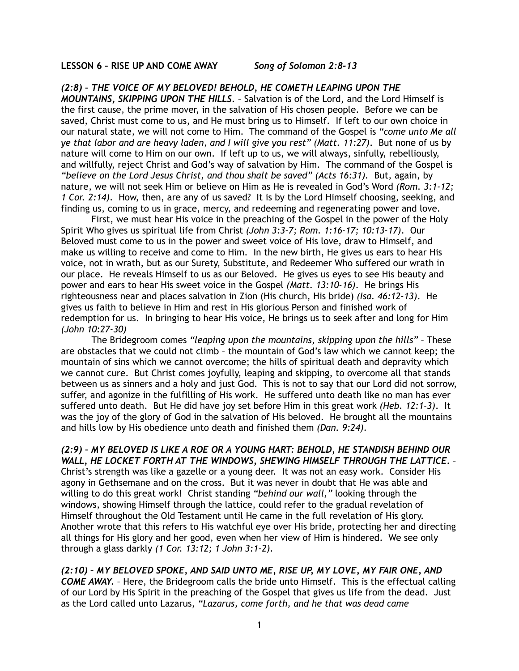**LESSON 6 – RISE UP AND COME AWAY** *Song of Solomon 2:8-13*

*(2:8) – THE VOICE OF MY BELOVED! BEHOLD, HE COMETH LEAPING UPON THE* 

*MOUNTAINS, SKIPPING UPON THE HILLS.* – Salvation is of the Lord, and the Lord Himself is the first cause, the prime mover, in the salvation of His chosen people. Before we can be saved, Christ must come to us, and He must bring us to Himself. If left to our own choice in our natural state, we will not come to Him. The command of the Gospel is *"come unto Me all ye that labor and are heavy laden, and I will give you rest" (Matt. 11:27)*. But none of us by nature will come to Him on our own. If left up to us, we will always, sinfully, rebelliously, and willfully, reject Christ and God's way of salvation by Him. The command of the Gospel is *"believe on the Lord Jesus Christ, and thou shalt be saved" (Acts 16:31).* But, again, by nature, we will not seek Him or believe on Him as He is revealed in God's Word *(Rom. 3:1-12; 1 Cor. 2:14)*. How, then, are any of us saved? It is by the Lord Himself choosing, seeking, and finding us, coming to us in grace, mercy, and redeeming and regenerating power and love.

 First, we must hear His voice in the preaching of the Gospel in the power of the Holy Spirit Who gives us spiritual life from Christ *(John 3:3-7; Rom. 1:16-17; 10:13-17)*. Our Beloved must come to us in the power and sweet voice of His love, draw to Himself, and make us willing to receive and come to Him. In the new birth, He gives us ears to hear His voice, not in wrath, but as our Surety, Substitute, and Redeemer Who suffered our wrath in our place. He reveals Himself to us as our Beloved. He gives us eyes to see His beauty and power and ears to hear His sweet voice in the Gospel *(Matt. 13:10-16)*. He brings His righteousness near and places salvation in Zion (His church, His bride) *(Isa. 46:12-13)*. He gives us faith to believe in Him and rest in His glorious Person and finished work of redemption for us. In bringing to hear His voice, He brings us to seek after and long for Him *(John 10:27-30)* 

 The Bridegroom comes *"leaping upon the mountains, skipping upon the hills"* – These are obstacles that we could not climb – the mountain of God's law which we cannot keep; the mountain of sins which we cannot overcome; the hills of spiritual death and depravity which we cannot cure. But Christ comes joyfully, leaping and skipping, to overcome all that stands between us as sinners and a holy and just God. This is not to say that our Lord did not sorrow, suffer, and agonize in the fulfilling of His work. He suffered unto death like no man has ever suffered unto death. But He did have joy set before Him in this great work *(Heb. 12:1-3)*. It was the joy of the glory of God in the salvation of His beloved. He brought all the mountains and hills low by His obedience unto death and finished them *(Dan. 9:24)*.

*(2:9) – MY BELOVED IS LIKE A ROE OR A YOUNG HART: BEHOLD, HE STANDISH BEHIND OUR WALL, HE LOCKET FORTH AT THE WINDOWS, SHEWING HIMSELF THROUGH THE LATTICE.* – Christ's strength was like a gazelle or a young deer. It was not an easy work. Consider His agony in Gethsemane and on the cross. But it was never in doubt that He was able and willing to do this great work! Christ standing *"behind our wall,"* looking through the windows, showing Himself through the lattice, could refer to the gradual revelation of Himself throughout the Old Testament until He came in the full revelation of His glory. Another wrote that this refers to His watchful eye over His bride, protecting her and directing all things for His glory and her good, even when her view of Him is hindered. We see only through a glass darkly *(1 Cor. 13:12; 1 John 3:1-2)*.

*(2:10) – MY BELOVED SPOKE, AND SAID UNTO ME, RISE UP, MY LOVE, MY FAIR ONE, AND COME AWAY.* – Here, the Bridegroom calls the bride unto Himself. This is the effectual calling of our Lord by His Spirit in the preaching of the Gospel that gives us life from the dead. Just as the Lord called unto Lazarus, *"Lazarus, come forth, and he that was dead came*